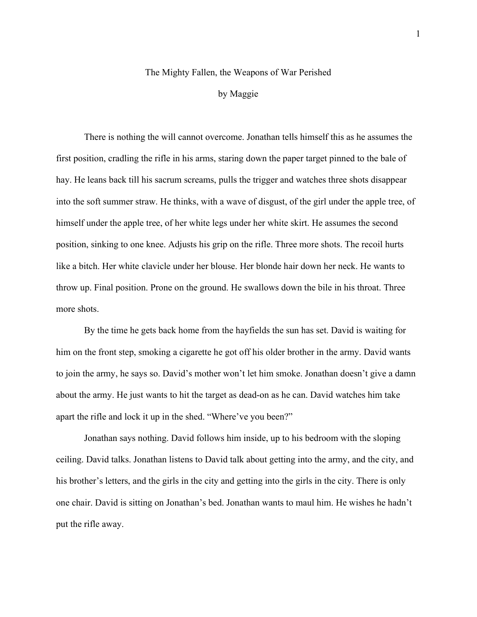## The Mighty Fallen, the Weapons of War Perished

## by Maggie

There is nothing the will cannot overcome. Jonathan tells himself this as he assumes the first position, cradling the rifle in his arms, staring down the paper target pinned to the bale of hay. He leans back till his sacrum screams, pulls the trigger and watches three shots disappear into the soft summer straw. He thinks, with a wave of disgust, of the girl under the apple tree, of himself under the apple tree, of her white legs under her white skirt. He assumes the second position, sinking to one knee. Adjusts his grip on the rifle. Three more shots. The recoil hurts like a bitch. Her white clavicle under her blouse. Her blonde hair down her neck. He wants to throw up. Final position. Prone on the ground. He swallows down the bile in his throat. Three more shots.

By the time he gets back home from the hayfields the sun has set. David is waiting for him on the front step, smoking a cigarette he got off his older brother in the army. David wants to join the army, he says so. David's mother won't let him smoke. Jonathan doesn't give a damn about the army. He just wants to hit the target as dead-on as he can. David watches him take apart the rifle and lock it up in the shed. "Where've you been?"

Jonathan says nothing. David follows him inside, up to his bedroom with the sloping ceiling. David talks. Jonathan listens to David talk about getting into the army, and the city, and his brother's letters, and the girls in the city and getting into the girls in the city. There is only one chair. David is sitting on Jonathan's bed. Jonathan wants to maul him. He wishes he hadn't put the rifle away.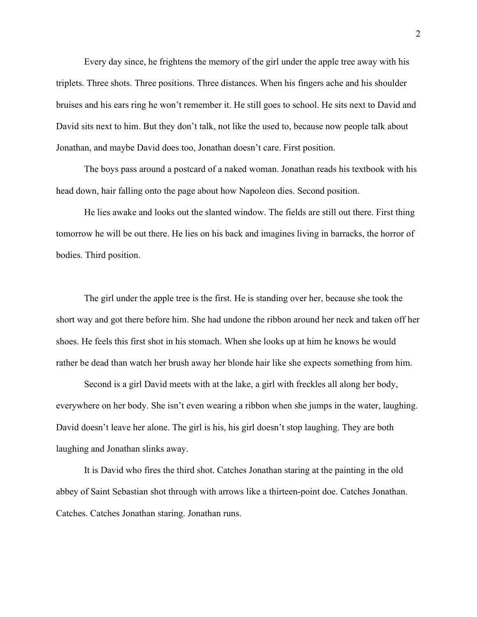Every day since, he frightens the memory of the girl under the apple tree away with his triplets. Three shots. Three positions. Three distances. When his fingers ache and his shoulder bruises and his ears ring he won't remember it. He still goes to school. He sits next to David and David sits next to him. But they don't talk, not like the used to, because now people talk about Jonathan, and maybe David does too, Jonathan doesn't care. First position.

The boys pass around a postcard of a naked woman. Jonathan reads his textbook with his head down, hair falling onto the page about how Napoleon dies. Second position.

He lies awake and looks out the slanted window. The fields are still out there. First thing tomorrow he will be out there. He lies on his back and imagines living in barracks, the horror of bodies. Third position.

The girl under the apple tree is the first. He is standing over her, because she took the short way and got there before him. She had undone the ribbon around her neck and taken off her shoes. He feels this first shot in his stomach. When she looks up at him he knows he would rather be dead than watch her brush away her blonde hair like she expects something from him.

Second is a girl David meets with at the lake, a girl with freckles all along her body, everywhere on her body. She isn't even wearing a ribbon when she jumps in the water, laughing. David doesn't leave her alone. The girl is his, his girl doesn't stop laughing. They are both laughing and Jonathan slinks away.

It is David who fires the third shot. Catches Jonathan staring at the painting in the old abbey of Saint Sebastian shot through with arrows like a thirteen-point doe. Catches Jonathan. Catches. Catches Jonathan staring. Jonathan runs.